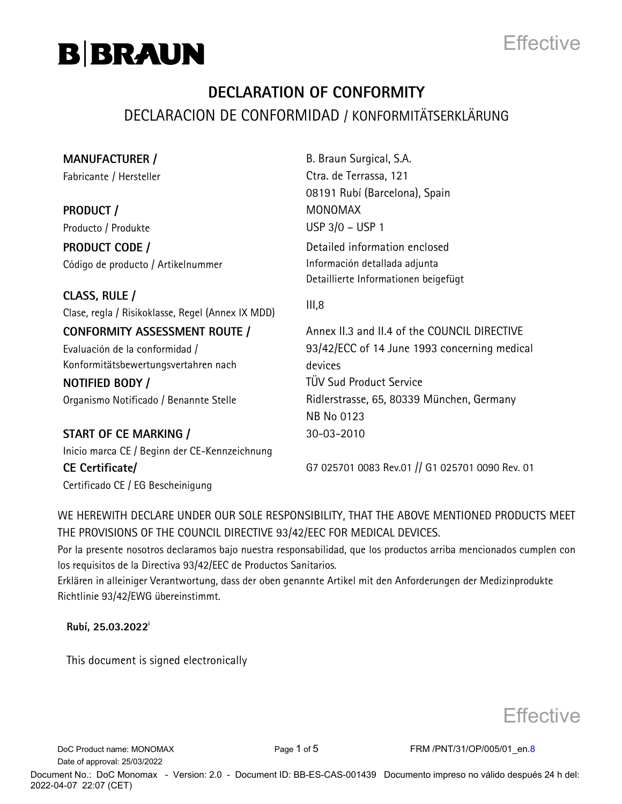



### **DECLARATION OF CONFORMITY** DECLARACION DE CONFORMIDAD / KONFORMITÄTSERKLÄRUNG

**MANUFACTURER /**  Fabricante / Hersteller

**PRODUCT /**  Producto / Produkte

**PRODUCT CODE /**  Código de producto / Artikelnummer

**CLASS, RULE /**  Clase, regla / Risikoklasse, Regel (Annex IX MDD) III,8

**CONFORMITY ASSESSMENT ROUTE /**  Evaluación de la conformidad / Konformitätsbewertungsvertahren nach

**NOTIFIED BODY /**  Organismo Notificado / Benannte Stelle

**START OF CE MARKING /**  Inicio marca CE / Beginn der CE-Kennzeichnung **CE Certificate/** Certificado CE / EG Bescheinigung

B. Braun Surgical, S.A. Ctra. de Terrassa. 121 08191 Rubí (Barcelona), Spain MONOMAX USP 3/0 – USP 1 Detailed information enclosed

Información detallada adjunta Detaillierte Informationen beigefügt

Annex II.3 and II.4 of the COUNCIL DIRECTIVE 93/42/ECC of 14 June 1993 concerning medical devices TÜV Sud Product Service Rid lerstrasse, 65, 80339 München, Germany NB No 0123 30-03-2010

G7 025701 0083 Rev.01 // G1 025701 0090 Rev. 01

WE HEREWITH DECLARE UNDER OUR SOLE RESPONSIBILITY, THAT THE ABOVE MENTIONED PRODUCTS MEET THE PROVISIONS OF THE COUNCIL DIRECTIVE 93/42/EEC FOR MEDICAL DEVICES.

Por la presente nosotros declaramos bajo nuestra responsabilidad, que los productos arriba mencionados cumplen con los requisitos de la Directiva 93/42/EEC de Productos Sanitarios.

Erklären in alleiniger Verantwortung, dass der oben genannte Artikel mit den Anforderungen der Medizinprodukte Richtlinie 93/42/EWG übereinstimmt.

**Rubí, 25.03.2022<sup>i</sup>**

This document is signed electronically

**Effective** 

Date of approval: 25/03/2022

DoC Product name: MONOMAX Page 1 of 5 FRM /PNT/31/OP/005/01 en.8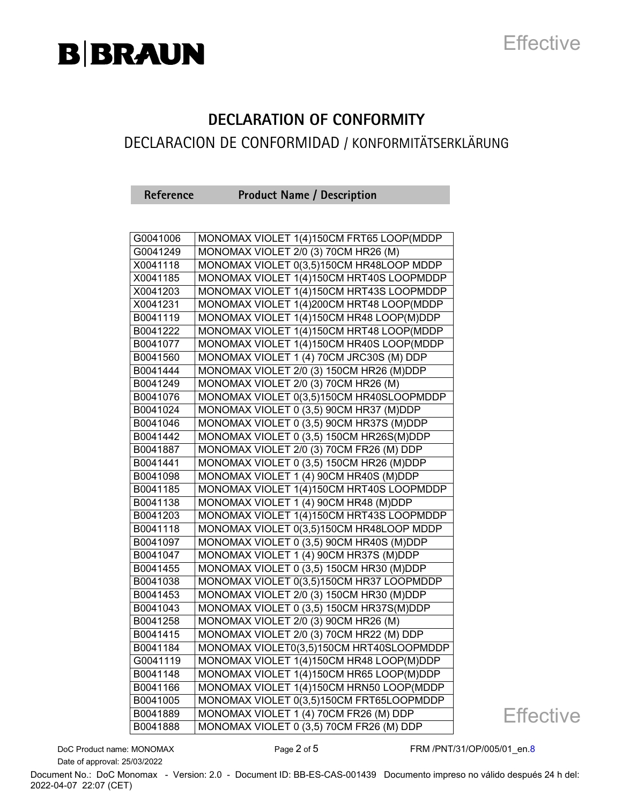

#### **DECLARATION OF CONFORMITY**

### DECLARACION DE CONFORMIDAD / KONFORMITÄTSERKLÄRUNG

**Reference Product Name / Description**

| G0041006 | MONOMAX VIOLET 1(4)150CM FRT65 LOOP(MDDP |
|----------|------------------------------------------|
| G0041249 | MONOMAX VIOLET 2/0 (3) 70CM HR26 (M)     |
| X0041118 | MONOMAX VIOLET 0(3,5)150CM HR48LOOP MDDP |
| X0041185 | MONOMAX VIOLET 1(4)150CM HRT40S LOOPMDDP |
| X0041203 | MONOMAX VIOLET 1(4)150CM HRT43S LOOPMDDP |
| X0041231 | MONOMAX VIOLET 1(4)200CM HRT48 LOOP(MDDP |
| B0041119 | MONOMAX VIOLET 1(4)150CM HR48 LOOP(M)DDP |
| B0041222 | MONOMAX VIOLET 1(4)150CM HRT48 LOOP(MDDP |
| B0041077 | MONOMAX VIOLET 1(4)150CM HR40S LOOP(MDDP |
| B0041560 | MONOMAX VIOLET 1 (4) 70CM JRC30S (M) DDP |
| B0041444 | MONOMAX VIOLET 2/0 (3) 150CM HR26 (M)DDP |
| B0041249 | MONOMAX VIOLET 2/0 (3) 70CM HR26 (M)     |
| B0041076 | MONOMAX VIOLET 0(3,5)150CM HR40SLOOPMDDP |
| B0041024 | MONOMAX VIOLET 0 (3,5) 90CM HR37 (M)DDP  |
| B0041046 | MONOMAX VIOLET 0 (3,5) 90CM HR37S (M)DDP |
| B0041442 | MONOMAX VIOLET 0 (3,5) 150CM HR26S(M)DDP |
| B0041887 | MONOMAX VIOLET 2/0 (3) 70CM FR26 (M) DDP |
| B0041441 | MONOMAX VIOLET 0 (3,5) 150CM HR26 (M)DDP |
| B0041098 | MONOMAX VIOLET 1 (4) 90CM HR40S (M)DDP   |
| B0041185 | MONOMAX VIOLET 1(4)150CM HRT40S LOOPMDDP |
| B0041138 | MONOMAX VIOLET 1 (4) 90CM HR48 (M)DDP    |
| B0041203 | MONOMAX VIOLET 1(4)150CM HRT43S LOOPMDDP |
| B0041118 | MONOMAX VIOLET 0(3,5)150CM HR48LOOP MDDP |
| B0041097 | MONOMAX VIOLET 0 (3,5) 90CM HR40S (M)DDP |
| B0041047 | MONOMAX VIOLET 1 (4) 90CM HR37S (M)DDP   |
| B0041455 | MONOMAX VIOLET 0 (3,5) 150CM HR30 (M)DDP |
| B0041038 | MONOMAX VIOLET 0(3,5)150CM HR37 LOOPMDDP |
| B0041453 | MONOMAX VIOLET 2/0 (3) 150CM HR30 (M)DDP |
| B0041043 | MONOMAX VIOLET 0 (3,5) 150CM HR37S(M)DDP |
| B0041258 | MONOMAX VIOLET 2/0 (3) 90CM HR26 (M)     |
| B0041415 | MONOMAX VIOLET 2/0 (3) 70CM HR22 (M) DDP |
| B0041184 | MONOMAX VIOLET0(3,5)150CM HRT40SLOOPMDDP |
| G0041119 | MONOMAX VIOLET 1(4)150CM HR48 LOOP(M)DDP |
| B0041148 | MONOMAX VIOLET 1(4)150CM HR65 LOOP(M)DDP |
| B0041166 | MONOMAX VIOLET 1(4)150CM HRN50 LOOP(MDDP |
| B0041005 | MONOMAX VIOLET 0(3,5)150CM FRT65LOOPMDDP |
| B0041889 | MONOMAX VIOLET 1 (4) 70CM FR26 (M) DDP   |
| B0041888 | MONOMAX VIOLET 0 (3,5) 70CM FR26 (M) DDP |

**Effective** 

Date of approval: 25/03/2022

DoC Product name: MONOMAX Page 2 of 5 FRM /PNT/31/OP/005/01\_en.8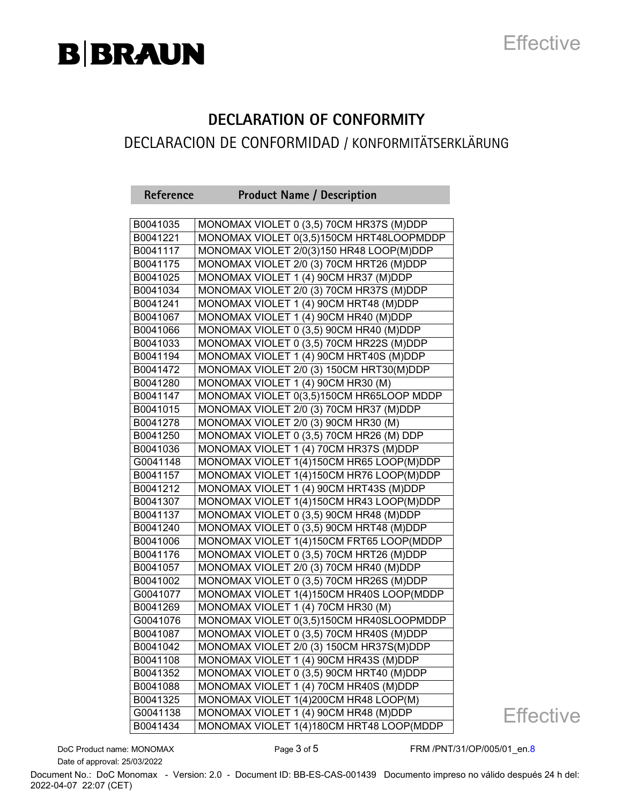

### **DECLARATION OF CONFORMITY**

### DECLARACION DE CONFORMIDAD / KONFORMITÄTSERKLÄRUNG

| Reference | <b>Product Name / Description</b>        |
|-----------|------------------------------------------|
|           |                                          |
| B0041035  | MONOMAX VIOLET 0 (3,5) 70CM HR37S (M)DDP |
| B0041221  | MONOMAX VIOLET 0(3,5)150CM HRT48LOOPMDDP |
| B0041117  | MONOMAX VIOLET 2/0(3)150 HR48 LOOP(M)DDP |
| B0041175  | MONOMAX VIOLET 2/0 (3) 70CM HRT26 (M)DDP |
| B0041025  | MONOMAX VIOLET 1 (4) 90CM HR37 (M)DDP    |
| B0041034  | MONOMAX VIOLET 2/0 (3) 70CM HR37S (M)DDP |
| B0041241  | MONOMAX VIOLET 1 (4) 90CM HRT48 (M)DDP   |
| B0041067  | MONOMAX VIOLET 1 (4) 90CM HR40 (M)DDP    |
| B0041066  | MONOMAX VIOLET 0 (3,5) 90CM HR40 (M)DDP  |
| B0041033  | MONOMAX VIOLET 0 (3,5) 70CM HR22S (M)DDP |
| B0041194  | MONOMAX VIOLET 1 (4) 90CM HRT40S (M)DDP  |
| B0041472  | MONOMAX VIOLET 2/0 (3) 150CM HRT30(M)DDP |
| B0041280  | MONOMAX VIOLET 1 (4) 90CM HR30 (M)       |
| B0041147  | MONOMAX VIOLET 0(3,5)150CM HR65LOOP MDDP |
| B0041015  | MONOMAX VIOLET 2/0 (3) 70CM HR37 (M)DDP  |
| B0041278  | MONOMAX VIOLET 2/0 (3) 90CM HR30 (M)     |
| B0041250  | MONOMAX VIOLET 0 (3,5) 70CM HR26 (M) DDP |
| B0041036  | MONOMAX VIOLET 1 (4) 70CM HR37S (M)DDP   |
| G0041148  | MONOMAX VIOLET 1(4)150CM HR65 LOOP(M)DDP |
| B0041157  | MONOMAX VIOLET 1(4)150CM HR76 LOOP(M)DDP |
| B0041212  | MONOMAX VIOLET 1 (4) 90CM HRT43S (M)DDP  |
| B0041307  | MONOMAX VIOLET 1(4)150CM HR43 LOOP(M)DDP |
| B0041137  | MONOMAX VIOLET 0 (3,5) 90CM HR48 (M)DDP  |
| B0041240  | MONOMAX VIOLET 0 (3,5) 90CM HRT48 (M)DDP |
| B0041006  | MONOMAX VIOLET 1(4)150CM FRT65 LOOP(MDDP |
| B0041176  | MONOMAX VIOLET 0 (3,5) 70CM HRT26 (M)DDP |
| B0041057  | MONOMAX VIOLET 2/0 (3) 70CM HR40 (M)DDP  |
| B0041002  | MONOMAX VIOLET 0 (3,5) 70CM HR26S (M)DDP |
| G0041077  | MONOMAX VIOLET 1(4)150CM HR40S LOOP(MDDP |
| B0041269  | MONOMAX VIOLET 1 (4) 70CM HR30 (M)       |
| G0041076  | MONOMAX VIOLET 0(3,5)150CM HR40SLOOPMDDP |
| B0041087  | MONOMAX VIOLET 0 (3,5) 70CM HR40S (M)DDP |
| B0041042  | MONOMAX VIOLET 2/0 (3) 150CM HR37S(M)DDP |
| B0041108  | MONOMAX VIOLET 1 (4) 90CM HR43S (M)DDP   |
| B0041352  | MONOMAX VIOLET 0 (3,5) 90CM HRT40 (M)DDP |
| B0041088  | MONOMAX VIOLET 1 (4) 70CM HR40S (M)DDP   |
| B0041325  | MONOMAX VIOLET 1(4)200CM HR48 LOOP(M)    |
| G0041138  | MONOMAX VIOLET 1 (4) 90CM HR48 (M)DDP    |
| B0041434  | MONOMAX VIOLET 1(4)180CM HRT48 LOOP(MDDP |

**Effective** 

Date of approval: 25/03/2022

DoC Product name: MONOMAX Page 3 of 5 FRM /PNT/31/OP/005/01\_en.8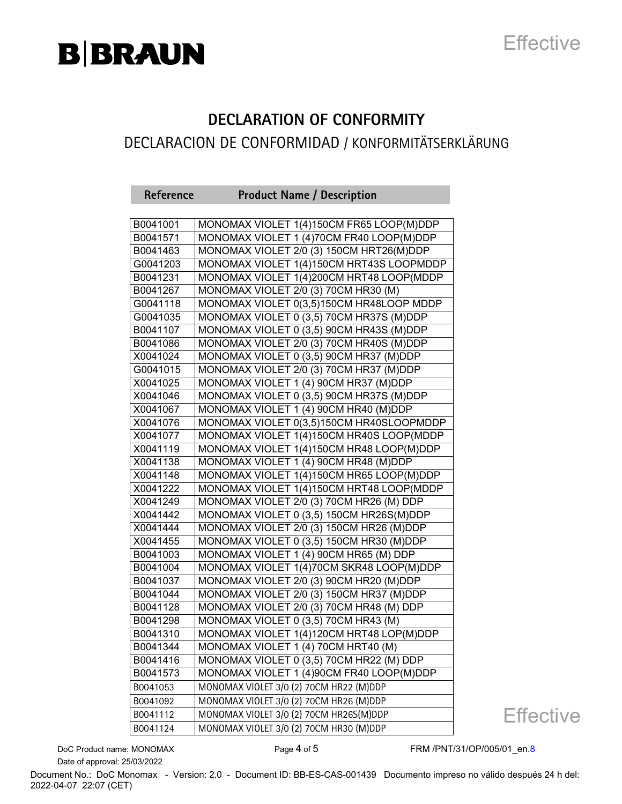

### **DECLARATION OF CONFORMITY**

### DECLARACION DE CONFORMIDAD / KONFORMITÄTSERKLÄRUNG

| Reference | <b>Product Name / Description</b>        |
|-----------|------------------------------------------|
|           |                                          |
| B0041001  | MONOMAX VIOLET 1(4)150CM FR65 LOOP(M)DDP |
| B0041571  | MONOMAX VIOLET 1 (4)70CM FR40 LOOP(M)DDP |
| B0041463  | MONOMAX VIOLET 2/0 (3) 150CM HRT26(M)DDP |
| G0041203  | MONOMAX VIOLET 1(4)150CM HRT43S LOOPMDDP |
| B0041231  | MONOMAX VIOLET 1(4)200CM HRT48 LOOP(MDDP |
| B0041267  | MONOMAX VIOLET 2/0 (3) 70CM HR30 (M)     |
| G0041118  | MONOMAX VIOLET 0(3,5)150CM HR48LOOP MDDP |
| G0041035  | MONOMAX VIOLET 0 (3,5) 70CM HR37S (M)DDP |
| B0041107  | MONOMAX VIOLET 0 (3,5) 90CM HR43S (M)DDP |
| B0041086  | MONOMAX VIOLET 2/0 (3) 70CM HR40S (M)DDP |
| X0041024  | MONOMAX VIOLET 0 (3,5) 90CM HR37 (M)DDP  |
| G0041015  | MONOMAX VIOLET 2/0 (3) 70CM HR37 (M)DDP  |
| X0041025  | MONOMAX VIOLET 1 (4) 90CM HR37 (M)DDP    |
| X0041046  | MONOMAX VIOLET 0 (3,5) 90CM HR37S (M)DDP |
| X0041067  | MONOMAX VIOLET 1 (4) 90CM HR40 (M)DDP    |
| X0041076  | MONOMAX VIOLET 0(3,5)150CM HR40SLOOPMDDP |
| X0041077  | MONOMAX VIOLET 1(4)150CM HR40S LOOP(MDDP |
| X0041119  | MONOMAX VIOLET 1(4)150CM HR48 LOOP(M)DDP |
| X0041138  | MONOMAX VIOLET 1 (4) 90CM HR48 (M)DDP    |
| X0041148  | MONOMAX VIOLET 1(4)150CM HR65 LOOP(M)DDP |
| X0041222  | MONOMAX VIOLET 1(4)150CM HRT48 LOOP(MDDP |
| X0041249  | MONOMAX VIOLET 2/0 (3) 70CM HR26 (M) DDP |
| X0041442  | MONOMAX VIOLET 0 (3,5) 150CM HR26S(M)DDP |
| X0041444  | MONOMAX VIOLET 2/0 (3) 150CM HR26 (M)DDP |
| X0041455  | MONOMAX VIOLET 0 (3,5) 150CM HR30 (M)DDP |
| B0041003  | MONOMAX VIOLET 1 (4) 90CM HR65 (M) DDP   |
| B0041004  | MONOMAX VIOLET 1(4)70CM SKR48 LOOP(M)DDP |
| B0041037  | MONOMAX VIOLET 2/0 (3) 90CM HR20 (M)DDP  |
| B0041044  | MONOMAX VIOLET 2/0 (3) 150CM HR37 (M)DDP |
| B0041128  | MONOMAX VIOLET 2/0 (3) 70CM HR48 (M) DDP |
| B0041298  | MONOMAX VIOLET 0 (3,5) 70CM HR43 (M)     |
| B0041310  | MONOMAX VIOLET 1(4)120CM HRT48 LOP(M)DDP |
| B0041344  | MONOMAX VIOLET 1 (4) 70CM HRT40 (M)      |
| B0041416  | MONOMAX VIOLET 0 (3,5) 70CM HR22 (M) DDP |
| B0041573  | MONOMAX VIOLET 1 (4)90CM FR40 LOOP(M)DDP |
| B0041053  | MONOMAX VIOLET 3/0 (2) 70CM HR22 (M)DDP  |
| B0041092  | MONOMAX VIOLET 3/0 (2) 70CM HR26 (M)DDP  |
| B0041112  | MONOMAX VIOLET 3/0 (2) 70CM HR26S(M)DDP  |
| B0041124  | MONOMAX VIOLET 3/0 (2) 70CM HR30 (M)DDP  |

Date of approval: 25/03/2022

DoC Product name: MONOMAX Page 4 of 5 FRM /PNT/31/OP/005/01\_en.8

**Effective**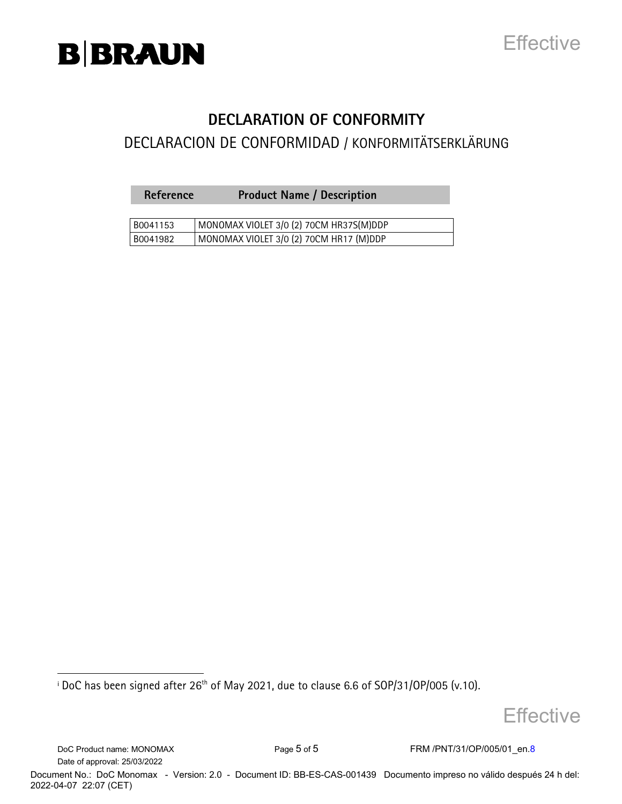

### **DECLARATION OF CONFORMITY**

### DECLARACION DE CONFORMIDAD / KONFORMITÄTSERKLÄRUNG

| Reference | <b>Product Name / Description</b> |  |
|-----------|-----------------------------------|--|
|-----------|-----------------------------------|--|

| B0041153 | I MONOMAX VIOLET 3/0 (2) 70CM HR37S(M)DDP |
|----------|-------------------------------------------|
| B0041982 | MONOMAX VIOLET 3/0 (2) 70CM HR17 (M)DDP   |

 $^{\rm i}$  DoC has been signed after 26 $^{\rm th}$  of May 2021, due to clause 6.6 of SOP/31/OP/005 (v.10).

**Effective** 

DoC Product name: MONOMAX Page 5 of 5 FRM /PNT/31/OP/005/01\_en.8 Date of approval: 25/03/2022

i<br>I